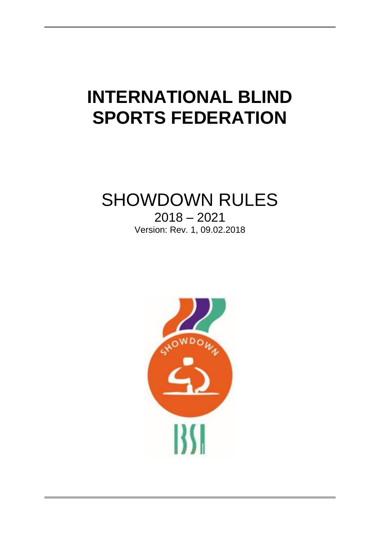# **INTERNATIONAL BLIND SPORTS FEDERATION**

## SHOWDOWN RULES

2018 – 2021 Version: Rev. 1, 09.02.2018

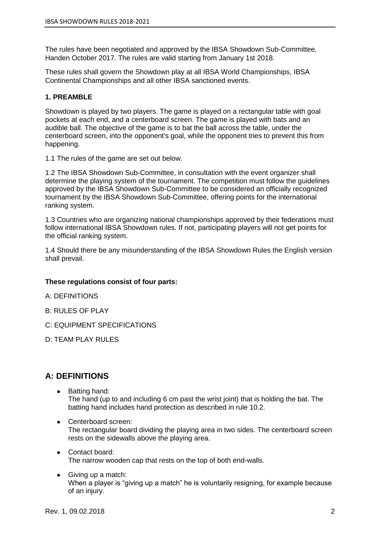The rules have been negotiated and approved by the IBSA Showdown Sub-Committee, Handen October 2017. The rules are valid starting from January 1st 2018.

These rules shall govern the Showdown play at all IBSA World Championships, IBSA Continental Championships and all other IBSA sanctioned events.

#### **1. PREAMBLE**

Showdown is played by two players. The game is played on a rectangular table with goal pockets at each end, and a centerboard screen. The game is played with bats and an audible ball. The objective of the game is to bat the ball across the table, under the centerboard screen, into the opponent's goal, while the opponent tries to prevent this from happening.

1.1 The rules of the game are set out below.

1.2 The IBSA Showdown Sub-Committee, in consultation with the event organizer shall determine the playing system of the tournament. The competition must follow the guidelines approved by the IBSA Showdown Sub-Committee to be considered an officially recognized tournament by the IBSA Showdown Sub-Committee, offering points for the international ranking system.

1.3 Countries who are organizing national championships approved by their federations must follow international IBSA Showdown rules. If not, participating players will not get points for the official ranking system.

1.4 Should there be any misunderstanding of the IBSA Showdown Rules the English version shall prevail.

#### **These regulations consist of four parts:**

A: DEFINITIONS

- B: RULES OF PLAY
- C: EQUIPMENT SPECIFICATIONS
- D: TEAM PLAY RULES

### **A: DEFINITIONS**

- Batting hand: The hand (up to and including 6 cm past the wrist joint) that is holding the bat. The batting hand includes hand protection as described in rule 10.2.
- Centerboard screen: The rectangular board dividing the playing area in two sides. The centerboard screen rests on the sidewalls above the playing area.
- Contact board: The narrow wooden cap that rests on the top of both end-walls.
- Giving up a match: When a player is "giving up a match" he is voluntarily resigning, for example because of an injury.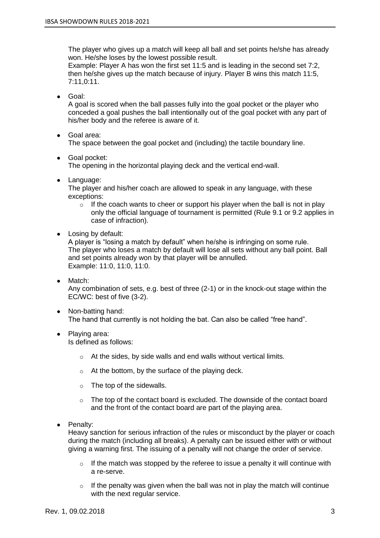The player who gives up a match will keep all ball and set points he/she has already won. He/she loses by the lowest possible result.

Example: Player A has won the first set 11:5 and is leading in the second set 7:2, then he/she gives up the match because of injury. Player B wins this match 11:5, 7:11,0:11.

● Goal:

A goal is scored when the ball passes fully into the goal pocket or the player who conceded a goal pushes the ball intentionally out of the goal pocket with any part of his/her body and the referee is aware of it.

● Goal area:

The space between the goal pocket and (including) the tactile boundary line.

● Goal pocket:

The opening in the horizontal playing deck and the vertical end-wall.

● Language:

The player and his/her coach are allowed to speak in any language, with these exceptions:

- $\circ$  If the coach wants to cheer or support his player when the ball is not in play only the official language of tournament is permitted (Rule 9.1 or 9.2 applies in case of infraction).
- Losing by default:

A player is "losing a match by default" when he/she is infringing on some rule. The player who loses a match by default will lose all sets without any ball point. Ball and set points already won by that player will be annulled. Example: 11:0, 11:0, 11:0.

- Match: Any combination of sets, e.g. best of three (2-1) or in the knock-out stage within the EC/WC: best of five (3-2).
- Non-batting hand: The hand that currently is not holding the bat. Can also be called "free hand".
- Plaving area: Is defined as follows:
	- $\circ$  At the sides, by side walls and end walls without vertical limits.
	- $\circ$  At the bottom, by the surface of the playing deck.
	- o The top of the sidewalls.
	- $\circ$  The top of the contact board is excluded. The downside of the contact board and the front of the contact board are part of the playing area.
- Penalty:

Heavy sanction for serious infraction of the rules or misconduct by the player or coach during the match (including all breaks). A penalty can be issued either with or without giving a warning first. The issuing of a penalty will not change the order of service.

- $\circ$  If the match was stopped by the referee to issue a penalty it will continue with a re-serve.
- $\circ$  If the penalty was given when the ball was not in play the match will continue with the next regular service.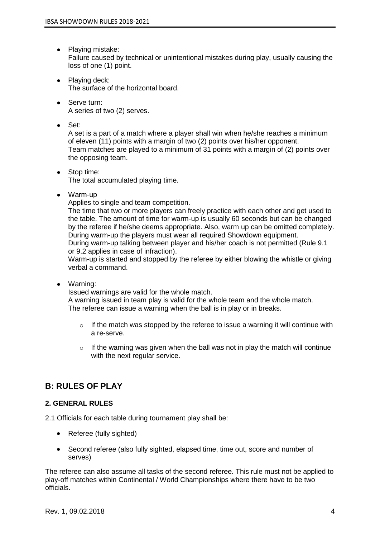- Playing mistake: Failure caused by technical or unintentional mistakes during play, usually causing the loss of one (1) point.
- Playing deck: The surface of the horizontal board.
- Serve turn: A series of two (2) serves.
- Set:

A set is a part of a match where a player shall win when he/she reaches a minimum of eleven (11) points with a margin of two (2) points over his/her opponent. Team matches are played to a minimum of 31 points with a margin of (2) points over the opposing team.

- Stop time: The total accumulated playing time.
- Warm-up

Applies to single and team competition.

The time that two or more players can freely practice with each other and get used to the table. The amount of time for warm-up is usually 60 seconds but can be changed by the referee if he/she deems appropriate. Also, warm up can be omitted completely. During warm-up the players must wear all required Showdown equipment. During warm-up talking between player and his/her coach is not permitted (Rule 9.1

or 9.2 applies in case of infraction).

Warm-up is started and stopped by the referee by either blowing the whistle or giving verbal a command.

● Warning:

Issued warnings are valid for the whole match.

A warning issued in team play is valid for the whole team and the whole match. The referee can issue a warning when the ball is in play or in breaks.

- $\circ$  If the match was stopped by the referee to issue a warning it will continue with a re-serve.
- $\circ$  If the warning was given when the ball was not in play the match will continue with the next regular service.

## **B: RULES OF PLAY**

#### **2. GENERAL RULES**

2.1 Officials for each table during tournament play shall be:

- Referee (fully sighted)
- Second referee (also fully sighted, elapsed time, time out, score and number of serves)

The referee can also assume all tasks of the second referee. This rule must not be applied to play-off matches within Continental / World Championships where there have to be two officials.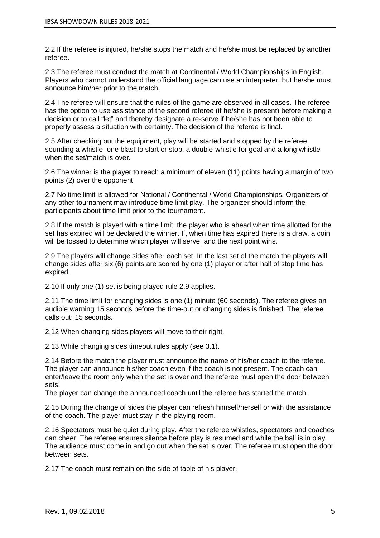2.2 If the referee is injured, he/she stops the match and he/she must be replaced by another referee.

2.3 The referee must conduct the match at Continental / World Championships in English. Players who cannot understand the official language can use an interpreter, but he/she must announce him/her prior to the match.

2.4 The referee will ensure that the rules of the game are observed in all cases. The referee has the option to use assistance of the second referee (if he/she is present) before making a decision or to call "let" and thereby designate a re-serve if he/she has not been able to properly assess a situation with certainty. The decision of the referee is final.

2.5 After checking out the equipment, play will be started and stopped by the referee sounding a whistle, one blast to start or stop, a double-whistle for goal and a long whistle when the set/match is over.

2.6 The winner is the player to reach a minimum of eleven (11) points having a margin of two points (2) over the opponent.

2.7 No time limit is allowed for National / Continental / World Championships. Organizers of any other tournament may introduce time limit play. The organizer should inform the participants about time limit prior to the tournament.

2.8 If the match is played with a time limit, the player who is ahead when time allotted for the set has expired will be declared the winner. If, when time has expired there is a draw, a coin will be tossed to determine which player will serve, and the next point wins.

2.9 The players will change sides after each set. In the last set of the match the players will change sides after six (6) points are scored by one (1) player or after half of stop time has expired.

2.10 If only one (1) set is being played rule 2.9 applies.

2.11 The time limit for changing sides is one (1) minute (60 seconds). The referee gives an audible warning 15 seconds before the time-out or changing sides is finished. The referee calls out: 15 seconds.

2.12 When changing sides players will move to their right.

2.13 While changing sides timeout rules apply (see 3.1).

2.14 Before the match the player must announce the name of his/her coach to the referee. The player can announce his/her coach even if the coach is not present. The coach can enter/leave the room only when the set is over and the referee must open the door between sets.

The player can change the announced coach until the referee has started the match.

2.15 During the change of sides the player can refresh himself/herself or with the assistance of the coach. The player must stay in the playing room.

2.16 Spectators must be quiet during play. After the referee whistles, spectators and coaches can cheer. The referee ensures silence before play is resumed and while the ball is in play. The audience must come in and go out when the set is over. The referee must open the door between sets.

2.17 The coach must remain on the side of table of his player.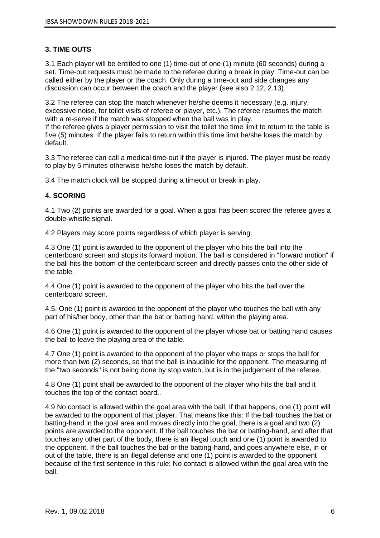#### **3. TIME OUTS**

3.1 Each player will be entitled to one (1) time-out of one (1) minute (60 seconds) during a set. Time-out requests must be made to the referee during a break in play. Time-out can be called either by the player or the coach. Only during a time-out and side changes any discussion can occur between the coach and the player (see also 2.12, 2.13).

3.2 The referee can stop the match whenever he/she deems it necessary (e.g. injury, excessive noise, for toilet visits of referee or player, etc.). The referee resumes the match with a re-serve if the match was stopped when the ball was in play.

If the referee gives a player permission to visit the toilet the time limit to return to the table is five (5) minutes. If the player fails to return within this time limit he/she loses the match by default.

3.3 The referee can call a medical time-out if the player is injured. The player must be ready to play by 5 minutes otherwise he/she loses the match by default.

3.4 The match clock will be stopped during a timeout or break in play.

#### **4. SCORING**

4.1 Two (2) points are awarded for a goal. When a goal has been scored the referee gives a double-whistle signal.

4.2 Players may score points regardless of which player is serving.

4.3 One (1) point is awarded to the opponent of the player who hits the ball into the centerboard screen and stops its forward motion. The ball is considered in "forward motion" if the ball hits the bottom of the centerboard screen and directly passes onto the other side of the table.

4.4 One (1) point is awarded to the opponent of the player who hits the ball over the centerboard screen.

4.5. One (1) point is awarded to the opponent of the player who touches the ball with any part of his/her body, other than the bat or batting hand, within the playing area.

4.6 One (1) point is awarded to the opponent of the player whose bat or batting hand causes the ball to leave the playing area of the table.

4.7 One (1) point is awarded to the opponent of the player who traps or stops the ball for more than two (2) seconds, so that the ball is inaudible for the opponent. The measuring of the "two seconds" is not being done by stop watch, but is in the judgement of the referee.

4.8 One (1) point shall be awarded to the opponent of the player who hits the ball and it touches the top of the contact board..

4.9 No contact is allowed within the goal area with the ball. If that happens, one (1) point will be awarded to the opponent of that player. That means like this: If the ball touches the bat or batting-hand in the goal area and moves directly into the goal, there is a goal and two (2) points are awarded to the opponent. If the ball touches the bat or batting-hand, and after that touches any other part of the body, there is an illegal touch and one (1) point is awarded to the opponent. If the ball touches the bat or the batting-hand, and goes anywhere else, in or out of the table, there is an illegal defense and one (1) point is awarded to the opponent because of the first sentence in this rule: No contact is allowed within the goal area with the ball.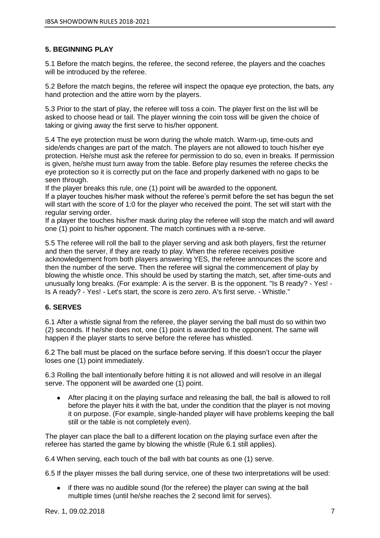#### **5. BEGINNING PLAY**

5.1 Before the match begins, the referee, the second referee, the players and the coaches will be introduced by the referee.

5.2 Before the match begins, the referee will inspect the opaque eye protection, the bats, any hand protection and the attire worn by the players.

5.3 Prior to the start of play, the referee will toss a coin. The player first on the list will be asked to choose head or tail. The player winning the coin toss will be given the choice of taking or giving away the first serve to his/her opponent.

5.4 The eye protection must be worn during the whole match. Warm-up, time-outs and side/ends changes are part of the match. The players are not allowed to touch his/her eye protection. He/she must ask the referee for permission to do so, even in breaks. If permission is given, he/she must turn away from the table. Before play resumes the referee checks the eye protection so it is correctly put on the face and properly darkened with no gaps to be seen through.

If the player breaks this rule, one (1) point will be awarded to the opponent.

If a player touches his/her mask without the referee's permit before the set has begun the set will start with the score of 1:0 for the player who received the point. The set will start with the regular serving order.

If a player the touches his/her mask during play the referee will stop the match and will award one (1) point to his/her opponent. The match continues with a re-serve.

5.5 The referee will roll the ball to the player serving and ask both players, first the returner and then the server, if they are ready to play. When the referee receives positive acknowledgement from both players answering YES, the referee announces the score and then the number of the serve. Then the referee will signal the commencement of play by blowing the whistle once. This should be used by starting the match, set, after time-outs and unusually long breaks. (For example: A is the server. B is the opponent. "Is B ready? - Yes! - Is A ready? - Yes! - Let's start, the score is zero zero. A's first serve. - Whistle."

#### **6. SERVES**

6.1 After a whistle signal from the referee, the player serving the ball must do so within two (2) seconds. If he/she does not, one (1) point is awarded to the opponent. The same will happen if the player starts to serve before the referee has whistled.

6.2 The ball must be placed on the surface before serving. If this doesn't occur the player loses one (1) point immediately.

6.3 Rolling the ball intentionally before hitting it is not allowed and will resolve in an illegal serve. The opponent will be awarded one (1) point.

● After placing it on the playing surface and releasing the ball, the ball is allowed to roll before the player hits it with the bat, under the condition that the player is not moving it on purpose. (For example, single-handed player will have problems keeping the ball still or the table is not completely even).

The player can place the ball to a different location on the playing surface even after the referee has started the game by blowing the whistle (Rule 6.1 still applies).

6.4 When serving, each touch of the ball with bat counts as one (1) serve.

6.5 If the player misses the ball during service, one of these two interpretations will be used:

● if there was no audible sound (for the referee) the player can swing at the ball multiple times (until he/she reaches the 2 second limit for serves).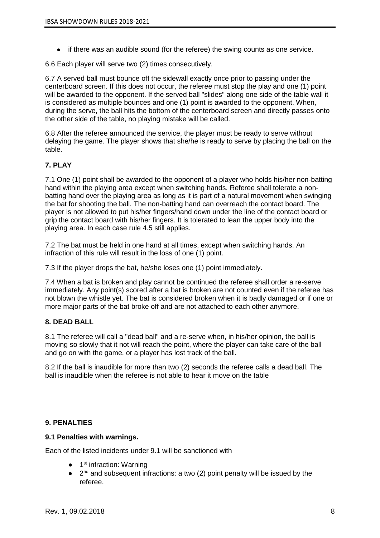● if there was an audible sound (for the referee) the swing counts as one service.

6.6 Each player will serve two (2) times consecutively.

6.7 A served ball must bounce off the sidewall exactly once prior to passing under the centerboard screen. If this does not occur, the referee must stop the play and one (1) point will be awarded to the opponent. If the served ball "slides" along one side of the table wall it is considered as multiple bounces and one (1) point is awarded to the opponent. When, during the serve, the ball hits the bottom of the centerboard screen and directly passes onto the other side of the table, no playing mistake will be called.

6.8 After the referee announced the service, the player must be ready to serve without delaying the game. The player shows that she/he is ready to serve by placing the ball on the table.

#### **7. PLAY**

7.1 One (1) point shall be awarded to the opponent of a player who holds his/her non-batting hand within the playing area except when switching hands. Referee shall tolerate a nonbatting hand over the playing area as long as it is part of a natural movement when swinging the bat for shooting the ball. The non-batting hand can overreach the contact board. The player is not allowed to put his/her fingers/hand down under the line of the contact board or grip the contact board with his/her fingers. It is tolerated to lean the upper body into the playing area. In each case rule 4.5 still applies.

7.2 The bat must be held in one hand at all times, except when switching hands. An infraction of this rule will result in the loss of one (1) point.

7.3 If the player drops the bat, he/she loses one (1) point immediately.

7.4 When a bat is broken and play cannot be continued the referee shall order a re-serve immediately. Any point(s) scored after a bat is broken are not counted even if the referee has not blown the whistle yet. The bat is considered broken when it is badly damaged or if one or more major parts of the bat broke off and are not attached to each other anymore.

#### **8. DEAD BALL**

8.1 The referee will call a "dead ball" and a re-serve when, in his/her opinion, the ball is moving so slowly that it not will reach the point, where the player can take care of the ball and go on with the game, or a player has lost track of the ball.

8.2 If the ball is inaudible for more than two (2) seconds the referee calls a dead ball. The ball is inaudible when the referee is not able to hear it move on the table

#### **9. PENALTIES**

#### **9.1 Penalties with warnings.**

Each of the listed incidents under 9.1 will be sanctioned with

- 1<sup>st</sup> infraction: Warning
- $\bullet$  2<sup>nd</sup> and subsequent infractions: a two (2) point penalty will be issued by the referee.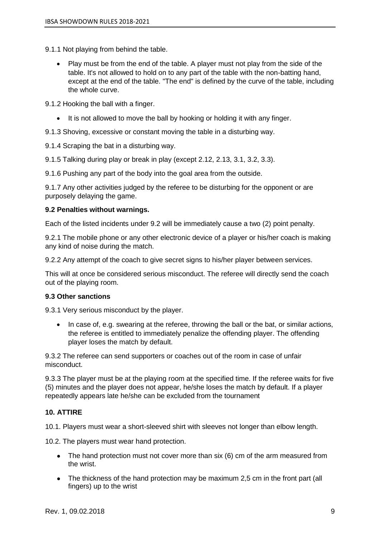- 9.1.1 Not playing from behind the table.
	- Play must be from the end of the table. A player must not play from the side of the table. It's not allowed to hold on to any part of the table with the non-batting hand, except at the end of the table. "The end" is defined by the curve of the table, including the whole curve.

9.1.2 Hooking the ball with a finger.

- It is not allowed to move the ball by hooking or holding it with any finger.
- 9.1.3 Shoving, excessive or constant moving the table in a disturbing way.

9.1.4 Scraping the bat in a disturbing way.

9.1.5 Talking during play or break in play (except 2.12, 2.13, 3.1, 3.2, 3.3).

9.1.6 Pushing any part of the body into the goal area from the outside.

9.1.7 Any other activities judged by the referee to be disturbing for the opponent or are purposely delaying the game.

#### **9.2 Penalties without warnings.**

Each of the listed incidents under 9.2 will be immediately cause a two (2) point penalty.

9.2.1 The mobile phone or any other electronic device of a player or his/her coach is making any kind of noise during the match.

9.2.2 Any attempt of the coach to give secret signs to his/her player between services.

This will at once be considered serious misconduct. The referee will directly send the coach out of the playing room.

#### **9.3 Other sanctions**

9.3.1 Very serious misconduct by the player.

• In case of, e.g. swearing at the referee, throwing the ball or the bat, or similar actions, the referee is entitled to immediately penalize the offending player. The offending player loses the match by default.

9.3.2 The referee can send supporters or coaches out of the room in case of unfair misconduct.

9.3.3 The player must be at the playing room at the specified time. If the referee waits for five (5) minutes and the player does not appear, he/she loses the match by default. If a player repeatedly appears late he/she can be excluded from the tournament

#### **10. ATTIRE**

10.1. Players must wear a short-sleeved shirt with sleeves not longer than elbow length.

10.2. The players must wear hand protection.

- The hand protection must not cover more than six (6) cm of the arm measured from the wrist.
- The thickness of the hand protection may be maximum 2,5 cm in the front part (all fingers) up to the wrist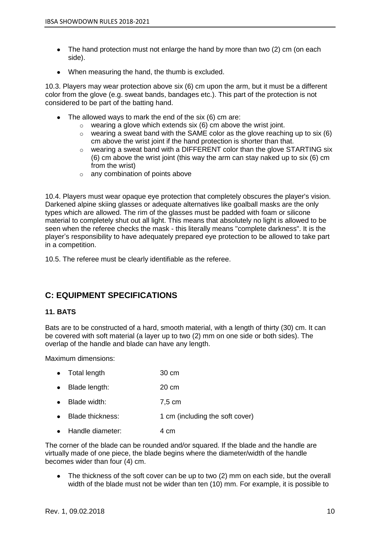- The hand protection must not enlarge the hand by more than two (2) cm (on each side).
- When measuring the hand, the thumb is excluded.

10.3. Players may wear protection above six (6) cm upon the arm, but it must be a different color from the glove (e.g. sweat bands, bandages etc.). This part of the protection is not considered to be part of the batting hand.

- $\bullet$  The allowed ways to mark the end of the six (6) cm are:
	- $\circ$  wearing a glove which extends six (6) cm above the wrist joint.
	- $\circ$  wearing a sweat band with the SAME color as the glove reaching up to six (6) cm above the wrist joint if the hand protection is shorter than that.
	- o wearing a sweat band with a DIFFERENT color than the glove STARTING six (6) cm above the wrist joint (this way the arm can stay naked up to six (6) cm from the wrist)
	- o any combination of points above

10.4. Players must wear opaque eye protection that completely obscures the player's vision. Darkened alpine skiing glasses or adequate alternatives like goalball masks are the only types which are allowed. The rim of the glasses must be padded with foam or silicone material to completely shut out all light. This means that absolutely no light is allowed to be seen when the referee checks the mask - this literally means "complete darkness". It is the player's responsibility to have adequately prepared eye protection to be allowed to take part in a competition.

10.5. The referee must be clearly identifiable as the referee.

## **C: EQUIPMENT SPECIFICATIONS**

#### **11. BATS**

Bats are to be constructed of a hard, smooth material, with a length of thirty (30) cm. It can be covered with soft material (a layer up to two (2) mm on one side or both sides). The overlap of the handle and blade can have any length.

Maximum dimensions:

- Total length 30 cm
- Blade length: 20 cm
- Blade width: 7,5 cm
- Blade thickness: 1 cm (including the soft cover)
- Handle diameter: 4 cm

The corner of the blade can be rounded and/or squared. If the blade and the handle are virtually made of one piece, the blade begins where the diameter/width of the handle becomes wider than four (4) cm.

• The thickness of the soft cover can be up to two (2) mm on each side, but the overall width of the blade must not be wider than ten (10) mm. For example, it is possible to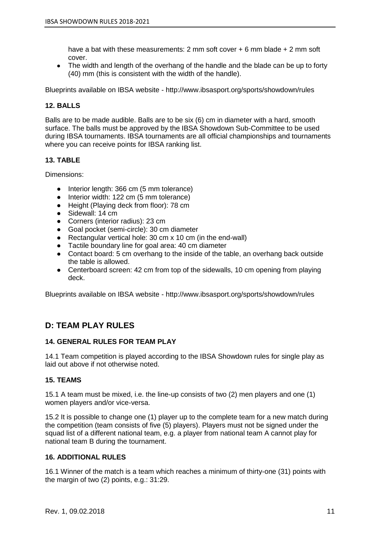have a bat with these measurements: 2 mm soft cover + 6 mm blade + 2 mm soft cover.

• The width and length of the overhang of the handle and the blade can be up to forty (40) mm (this is consistent with the width of the handle).

Blueprints available on IBSA website - http://www.ibsasport.org/sports/showdown/rules

#### **12. BALLS**

Balls are to be made audible. Balls are to be six (6) cm in diameter with a hard, smooth surface. The balls must be approved by the IBSA Showdown Sub-Committee to be used during IBSA tournaments. IBSA tournaments are all official championships and tournaments where you can receive points for IBSA ranking list.

#### **13. TABLE**

Dimensions:

- Interior length: 366 cm (5 mm tolerance)
- Interior width: 122 cm (5 mm tolerance)
- Height (Playing deck from floor): 78 cm
- Sidewall: 14 cm
- Corners (interior radius): 23 cm
- Goal pocket (semi-circle): 30 cm diameter
- Rectangular vertical hole: 30 cm x 10 cm (in the end-wall)
- Tactile boundary line for goal area: 40 cm diameter
- Contact board: 5 cm overhang to the inside of the table, an overhang back outside the table is allowed.
- Centerboard screen: 42 cm from top of the sidewalls, 10 cm opening from playing deck.

Blueprints available on IBSA website - http://www.ibsasport.org/sports/showdown/rules

### **D: TEAM PLAY RULES**

#### **14. GENERAL RULES FOR TEAM PLAY**

14.1 Team competition is played according to the IBSA Showdown rules for single play as laid out above if not otherwise noted.

#### **15. TEAMS**

15.1 A team must be mixed, i.e. the line-up consists of two (2) men players and one (1) women players and/or vice-versa.

15.2 It is possible to change one (1) player up to the complete team for a new match during the competition (team consists of five (5) players). Players must not be signed under the squad list of a different national team, e.g. a player from national team A cannot play for national team B during the tournament.

#### **16. ADDITIONAL RULES**

16.1 Winner of the match is a team which reaches a minimum of thirty-one (31) points with the margin of two (2) points, e.g.: 31:29.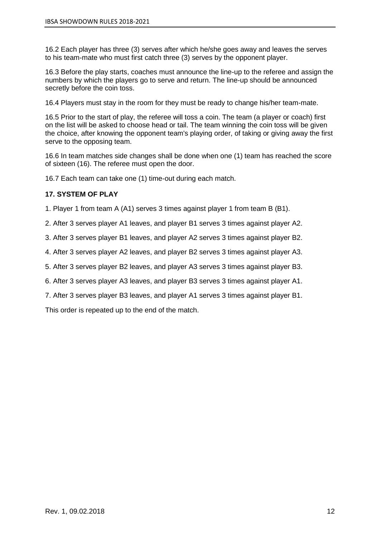16.2 Each player has three (3) serves after which he/she goes away and leaves the serves to his team-mate who must first catch three (3) serves by the opponent player.

16.3 Before the play starts, coaches must announce the line-up to the referee and assign the numbers by which the players go to serve and return. The line-up should be announced secretly before the coin toss.

16.4 Players must stay in the room for they must be ready to change his/her team-mate.

16.5 Prior to the start of play, the referee will toss a coin. The team (a player or coach) first on the list will be asked to choose head or tail. The team winning the coin toss will be given the choice, after knowing the opponent team's playing order, of taking or giving away the first serve to the opposing team.

16.6 In team matches side changes shall be done when one (1) team has reached the score of sixteen (16). The referee must open the door.

16.7 Each team can take one (1) time-out during each match.

#### **17. SYSTEM OF PLAY**

1. Player 1 from team A (A1) serves 3 times against player 1 from team B (B1).

2. After 3 serves player A1 leaves, and player B1 serves 3 times against player A2.

3. After 3 serves player B1 leaves, and player A2 serves 3 times against player B2.

4. After 3 serves player A2 leaves, and player B2 serves 3 times against player A3.

5. After 3 serves player B2 leaves, and player A3 serves 3 times against player B3.

6. After 3 serves player A3 leaves, and player B3 serves 3 times against player A1.

7. After 3 serves player B3 leaves, and player A1 serves 3 times against player B1.

This order is repeated up to the end of the match.